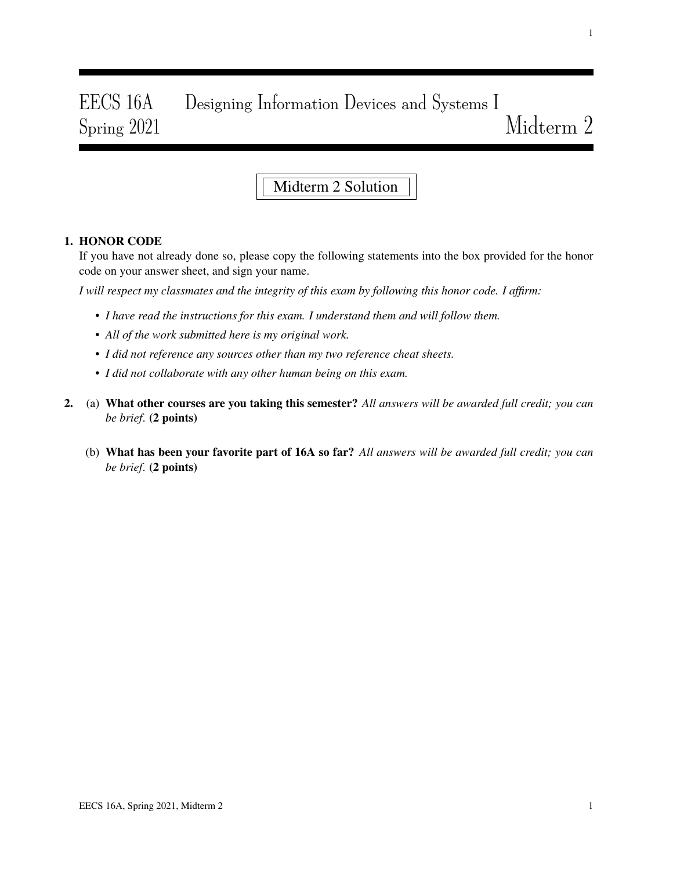# EECS 16A Designing Information Devices and Systems I Spring 2021 Midterm 2

# Midterm 2 Solution

## 1. HONOR CODE

If you have not already done so, please copy the following statements into the box provided for the honor code on your answer sheet, and sign your name.

*I will respect my classmates and the integrity of this exam by following this honor code. I affirm:*

- *I have read the instructions for this exam. I understand them and will follow them.*
- *All of the work submitted here is my original work.*
- *I did not reference any sources other than my two reference cheat sheets.*
- *I did not collaborate with any other human being on this exam.*
- 2. (a) What other courses are you taking this semester? *All answers will be awarded full credit; you can be brief*. (2 points)
	- (b) What has been your favorite part of 16A so far? *All answers will be awarded full credit; you can be brief*. (2 points)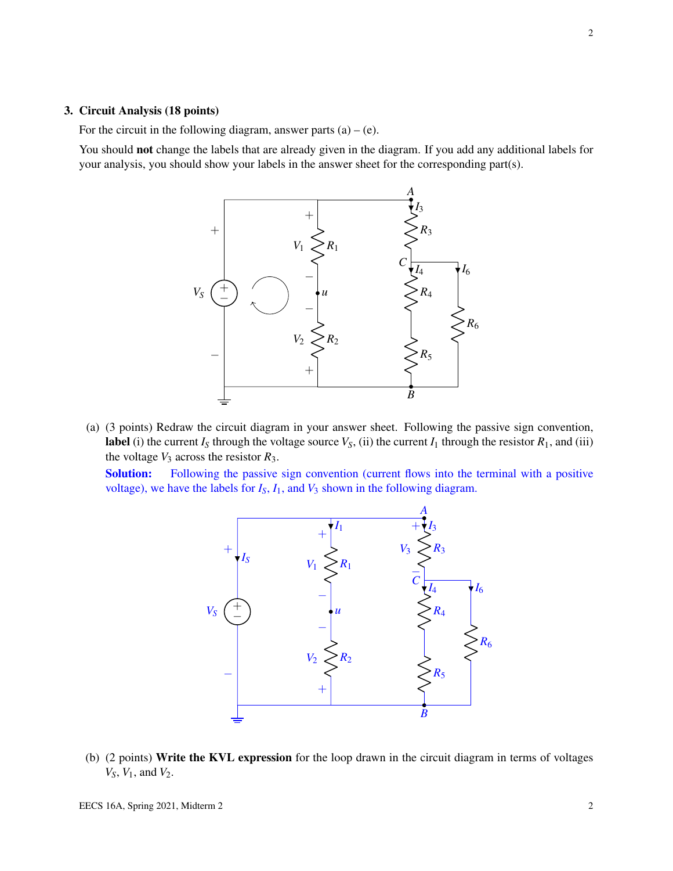#### 3. Circuit Analysis (18 points)

For the circuit in the following diagram, answer parts  $(a) - (e)$ .

You should not change the labels that are already given in the diagram. If you add any additional labels for your analysis, you should show your labels in the answer sheet for the corresponding part(s).



(a) (3 points) Redraw the circuit diagram in your answer sheet. Following the passive sign convention, label (i) the current  $I_S$  through the voltage source  $V_S$ , (ii) the current  $I_1$  through the resistor  $R_1$ , and (iii) the voltage  $V_3$  across the resistor  $R_3$ .

Solution: Following the passive sign convention (current flows into the terminal with a positive voltage), we have the labels for  $I_S$ ,  $I_1$ , and  $V_3$  shown in the following diagram.



(b) (2 points) Write the KVL expression for the loop drawn in the circuit diagram in terms of voltages *VS*, *V*1, and *V*2.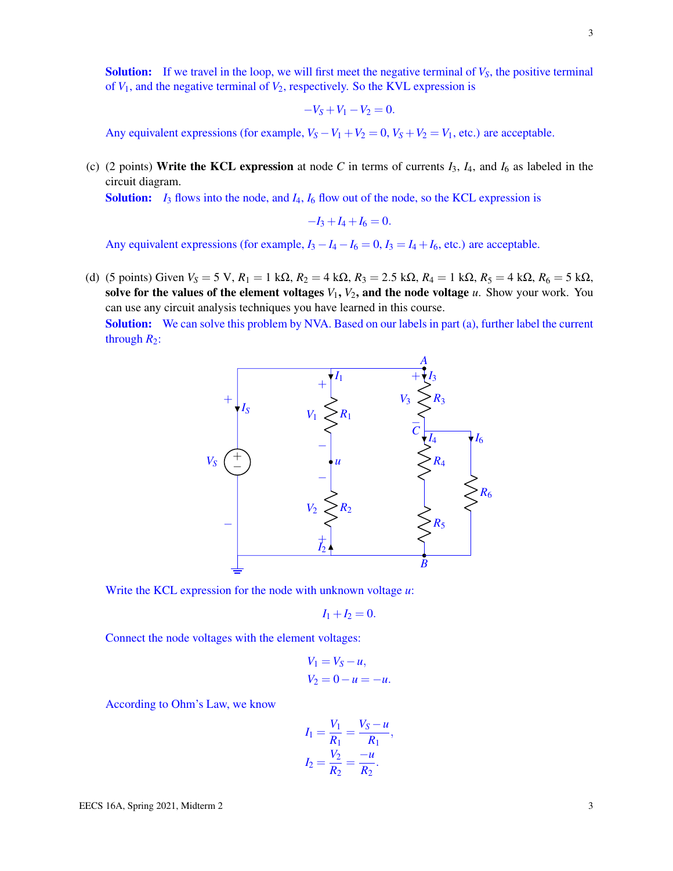**Solution:** If we travel in the loop, we will first meet the negative terminal of  $V_s$ , the positive terminal of  $V_1$ , and the negative terminal of  $V_2$ , respectively. So the KVL expression is

$$
-V_S + V_1 - V_2 = 0.
$$

Any equivalent expressions (for example,  $V_S - V_1 + V_2 = 0$ ,  $V_S + V_2 = V_1$ , etc.) are acceptable.

(c) (2 points) Write the KCL expression at node *C* in terms of currents  $I_3$ ,  $I_4$ , and  $I_6$  as labeled in the circuit diagram.

Solution: *I*<sup>3</sup> flows into the node, and *I*4, *I*<sup>6</sup> flow out of the node, so the KCL expression is

$$
-I_3 + I_4 + I_6 = 0.
$$

Any equivalent expressions (for example,  $I_3 - I_4 - I_6 = 0$ ,  $I_3 = I_4 + I_6$ , etc.) are acceptable.

(d) (5 points) Given  $V_S = 5$  V,  $R_1 = 1$  kΩ,  $R_2 = 4$  kΩ,  $R_3 = 2.5$  kΩ,  $R_4 = 1$  kΩ,  $R_5 = 4$  kΩ,  $R_6 = 5$  kΩ, solve for the values of the element voltages  $V_1$ ,  $V_2$ , and the node voltage  $u$ . Show your work. You can use any circuit analysis techniques you have learned in this course. Solution: We can solve this problem by NVA. Based on our labels in part (a), further label the current through  $R_2$ :



Write the KCL expression for the node with unknown voltage *u*:

$$
I_1+I_2=0.
$$

Connect the node voltages with the element voltages:

$$
V_1 = V_S - u,
$$
  

$$
V_2 = 0 - u = -u.
$$

According to Ohm's Law, we know

$$
I_1 = \frac{V_1}{R_1} = \frac{V_S - u}{R_1},
$$
  

$$
I_2 = \frac{V_2}{R_2} = \frac{-u}{R_2}.
$$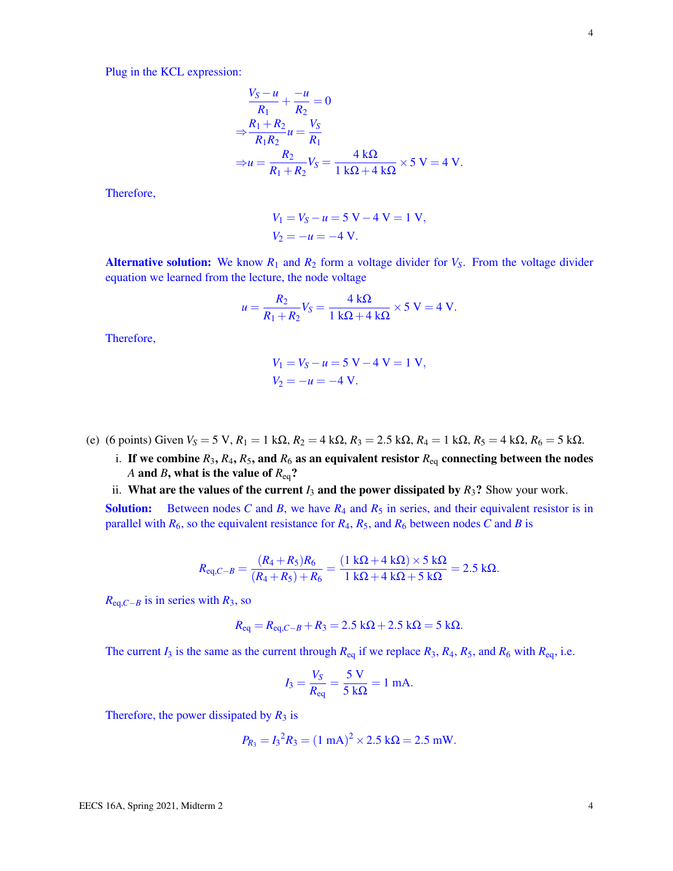Plug in the KCL expression:

$$
\frac{V_S - u}{R_1} + \frac{-u}{R_2} = 0
$$
  
\n
$$
\Rightarrow \frac{R_1 + R_2}{R_1 R_2} u = \frac{V_S}{R_1}
$$
  
\n
$$
\Rightarrow u = \frac{R_2}{R_1 + R_2} V_S = \frac{4 k\Omega}{1 k\Omega + 4 k\Omega} \times 5 V = 4 V.
$$

Therefore,

$$
V_1 = V_S - u = 5 \text{ V} - 4 \text{ V} = 1 \text{ V},
$$
  

$$
V_2 = -u = -4 \text{ V}.
$$

Alternative solution: We know  $R_1$  and  $R_2$  form a voltage divider for  $V_S$ . From the voltage divider equation we learned from the lecture, the node voltage

$$
u = \frac{R_2}{R_1 + R_2} V_S = \frac{4 \text{ k}\Omega}{1 \text{ k}\Omega + 4 \text{ k}\Omega} \times 5 \text{ V} = 4 \text{ V}.
$$

Therefore,

$$
V_1 = V_S - u = 5 \text{ V} - 4 \text{ V} = 1 \text{ V},
$$
  

$$
V_2 = -u = -4 \text{ V}.
$$

(e) (6 points) Given  $V_s = 5 \text{ V}$ ,  $R_1 = 1 \text{ k}\Omega$ ,  $R_2 = 4 \text{ k}\Omega$ ,  $R_3 = 2.5 \text{ k}\Omega$ ,  $R_4 = 1 \text{ k}\Omega$ ,  $R_5 = 4 \text{ k}\Omega$ ,  $R_6 = 5 \text{ k}\Omega$ .

- i. If we combine  $R_3$ ,  $R_4$ ,  $R_5$ , and  $R_6$  as an equivalent resistor  $R_{eq}$  connecting between the nodes *A* and *B*, what is the value of *R*eq?
- ii. What are the values of the current  $I_3$  and the power dissipated by  $R_3$ ? Show your work.

**Solution:** Between nodes C and B, we have  $R_4$  and  $R_5$  in series, and their equivalent resistor is in parallel with  $R_6$ , so the equivalent resistance for  $R_4$ ,  $R_5$ , and  $R_6$  between nodes *C* and *B* is

$$
R_{\text{eq},C-B} = \frac{(R_4 + R_5)R_6}{(R_4 + R_5) + R_6} = \frac{(1 \text{ k}\Omega + 4 \text{ k}\Omega) \times 5 \text{ k}\Omega}{1 \text{ k}\Omega + 4 \text{ k}\Omega + 5 \text{ k}\Omega} = 2.5 \text{ k}\Omega.
$$

 $R_{eq,C-B}$  is in series with  $R_3$ , so

$$
R_{\text{eq}} = R_{\text{eq},C-B} + R_3 = 2.5 \text{ k}\Omega + 2.5 \text{ k}\Omega = 5 \text{ k}\Omega.
$$

The current  $I_3$  is the same as the current through  $R_{eq}$  if we replace  $R_3$ ,  $R_4$ ,  $R_5$ , and  $R_6$  with  $R_{eq}$ , i.e.

$$
I_3 = \frac{V_S}{R_{\text{eq}}} = \frac{5 \text{ V}}{5 \text{ k}\Omega} = 1 \text{ mA}.
$$

Therefore, the power dissipated by  $R_3$  is

$$
P_{R_3} = I_3^2 R_3 = (1 \text{ mA})^2 \times 2.5 \text{ k}\Omega = 2.5 \text{ mW}.
$$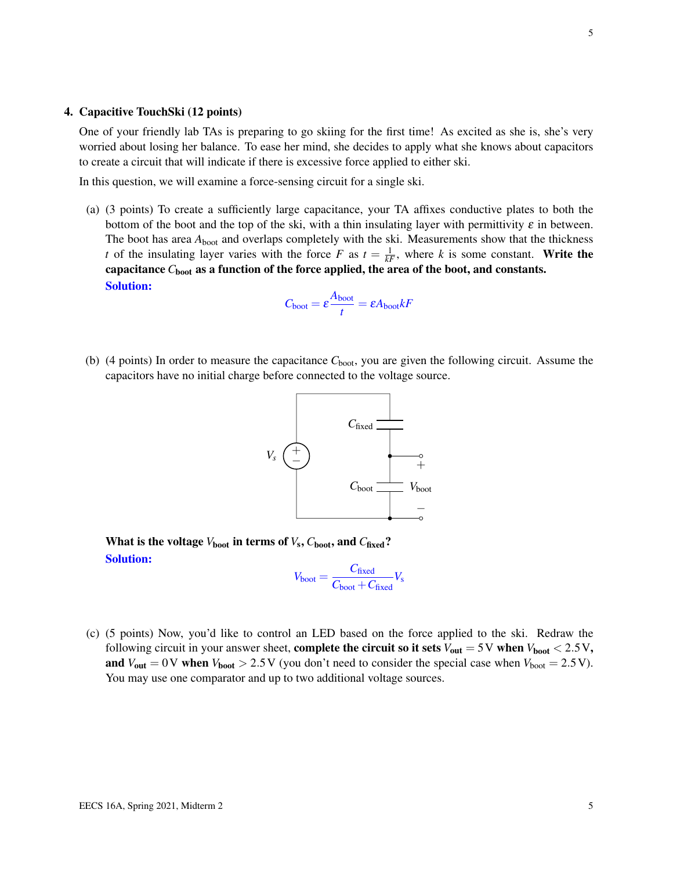#### 4. Capacitive TouchSki (12 points)

One of your friendly lab TAs is preparing to go skiing for the first time! As excited as she is, she's very worried about losing her balance. To ease her mind, she decides to apply what she knows about capacitors to create a circuit that will indicate if there is excessive force applied to either ski.

In this question, we will examine a force-sensing circuit for a single ski.

(a) (3 points) To create a sufficiently large capacitance, your TA affixes conductive plates to both the bottom of the boot and the top of the ski, with a thin insulating layer with permittivity  $\varepsilon$  in between. The boot has area  $A_{boot}$  and overlaps completely with the ski. Measurements show that the thickness *t* of the insulating layer varies with the force *F* as  $t = \frac{1}{kF}$ , where *k* is some constant. Write the capacitance  $C_{\text{boot}}$  as a function of the force applied, the area of the boot, and constants. Solution:

$$
C_{\text{boot}} = \varepsilon \frac{A_{\text{boot}}}{t} = \varepsilon A_{\text{boot}} kF
$$

(b) (4 points) In order to measure the capacitance *C*boot, you are given the following circuit. Assume the capacitors have no initial charge before connected to the voltage source.



What is the voltage  $V_{\text{boot}}$  in terms of  $V_{\text{s}}, C_{\text{boot}},$  and  $C_{\text{fixed}}$ ? Solution:

$$
V_{\text{boot}} = \frac{C_{\text{fixed}}}{C_{\text{boot}} + C_{\text{fixed}}} V_{\text{s}}
$$

(c) (5 points) Now, you'd like to control an LED based on the force applied to the ski. Redraw the following circuit in your answer sheet, **complete the circuit so it sets**  $V_{\text{out}} = 5 \text{ V}$  when  $V_{\text{boot}} < 2.5 \text{ V}$ , and  $V_{\text{out}} = 0$  V when  $V_{\text{boot}} > 2.5$  V (you don't need to consider the special case when  $V_{\text{boot}} = 2.5$  V). You may use one comparator and up to two additional voltage sources.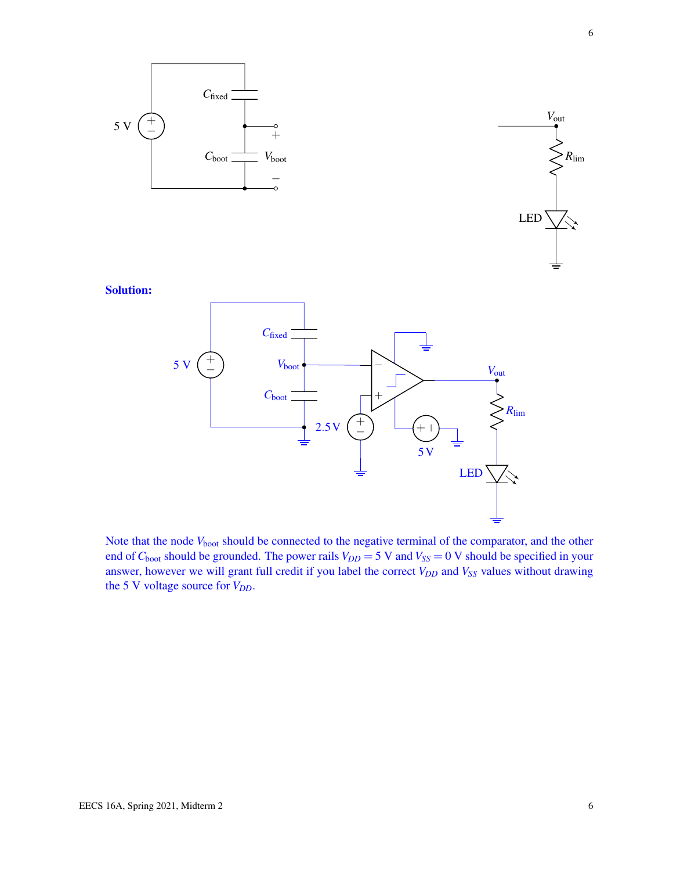

Note that the node  $V_{boot}$  should be connected to the negative terminal of the comparator, and the other end of  $C_{boot}$  should be grounded. The power rails  $V_{DD} = 5$  V and  $V_{SS} = 0$  V should be specified in your answer, however we will grant full credit if you label the correct *VDD* and *VSS* values without drawing the 5 V voltage source for  $V_{DD}$ .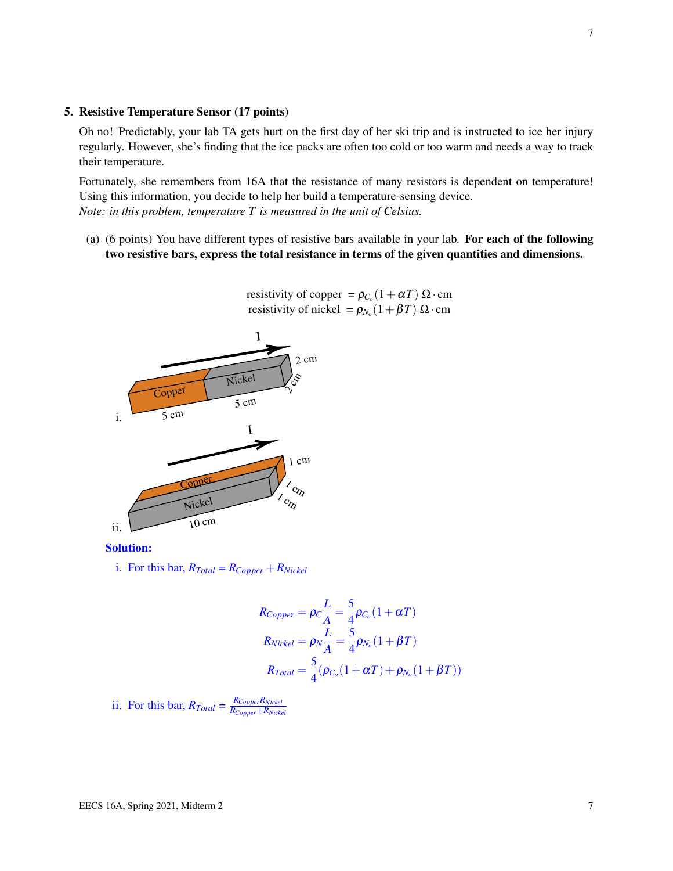#### 5. Resistive Temperature Sensor (17 points)

Oh no! Predictably, your lab TA gets hurt on the first day of her ski trip and is instructed to ice her injury regularly. However, she's finding that the ice packs are often too cold or too warm and needs a way to track their temperature.

Fortunately, she remembers from 16A that the resistance of many resistors is dependent on temperature! Using this information, you decide to help her build a temperature-sensing device. *Note: in this problem, temperature T is measured in the unit of Celsius.*

(a) (6 points) You have different types of resistive bars available in your lab. For each of the following two resistive bars, express the total resistance in terms of the given quantities and dimensions.



resistivity of copper =  $\rho_{C_0}(1+\alpha T) \Omega \cdot \text{cm}$ resistivity of nickel =  $\rho_{N_o}(1+\beta T) \Omega \cdot \text{cm}$ 

Solution:

i. For this bar,  $R_{Total} = R_{Copper} + R_{Nickel}$ 

$$
R_{Copper} = \rho_C \frac{L}{A} = \frac{5}{4} \rho_{C_o} (1 + \alpha T)
$$
  
\n
$$
R_{Nickel} = \rho_N \frac{L}{A} = \frac{5}{4} \rho_{N_o} (1 + \beta T)
$$
  
\n
$$
R_{Total} = \frac{5}{4} (\rho_{C_o} (1 + \alpha T) + \rho_{N_o} (1 + \beta T))
$$

ii. For this bar,  $R_{Total} = \frac{R_{Copper}R_{Nickel}}{R_{Canner} + R_{Nickel}}$ *RCopper*+*RNickel*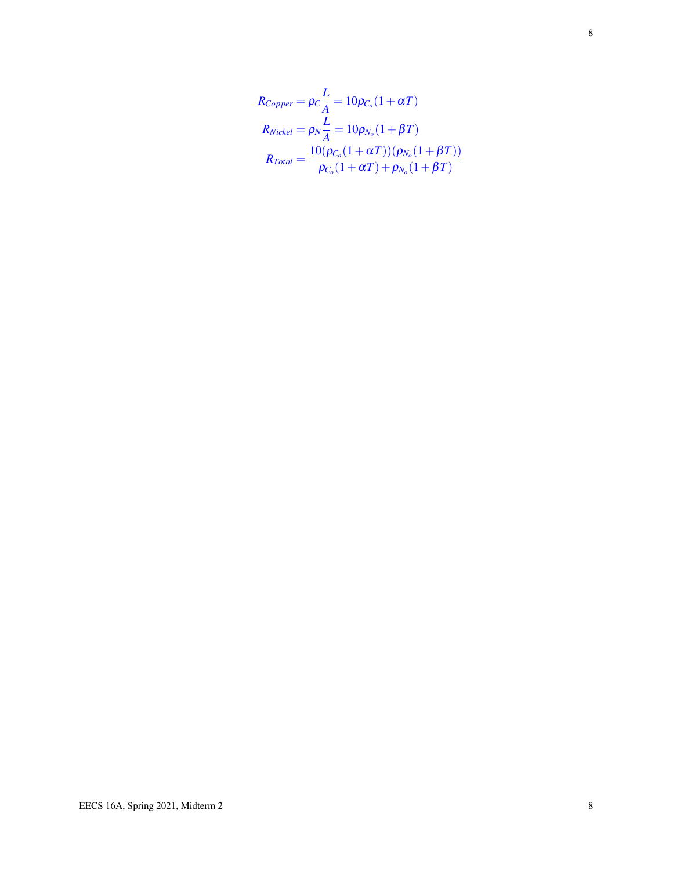$$
R_{Copper} = \rho_C \frac{L}{A} = 10 \rho_{C_o} (1 + \alpha T)
$$
  
\n
$$
R_{Nickel} = \rho_N \frac{L}{A} = 10 \rho_{N_o} (1 + \beta T)
$$
  
\n
$$
R_{Total} = \frac{10(\rho_{C_o} (1 + \alpha T))(\rho_{N_o} (1 + \beta T))}{\rho_{C_o} (1 + \alpha T) + \rho_{N_o} (1 + \beta T)}
$$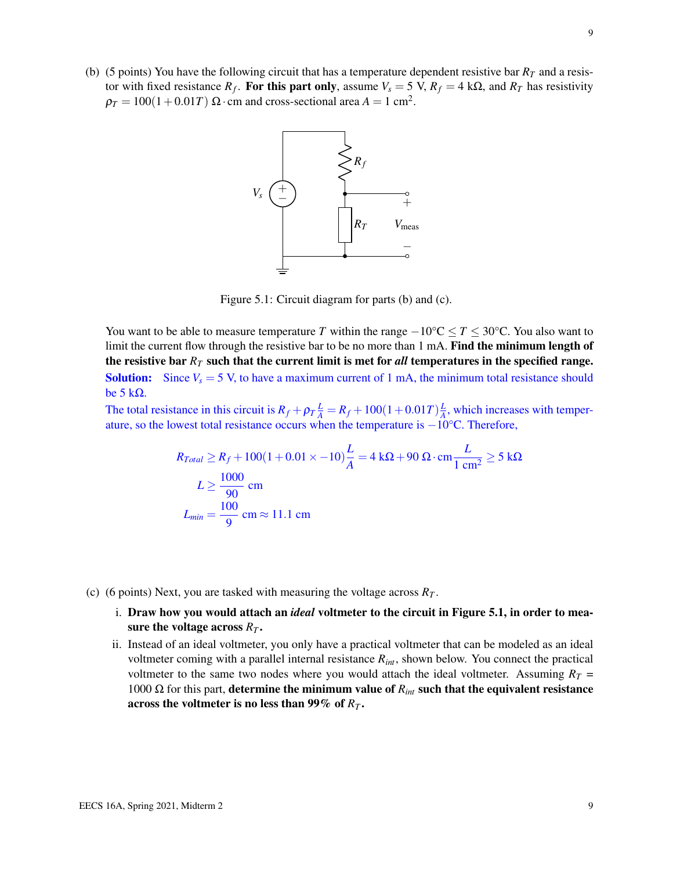<span id="page-8-0"></span>(b) (5 points) You have the following circuit that has a temperature dependent resistive bar  $R<sub>T</sub>$  and a resistor with fixed resistance  $R_f$ . For this part only, assume  $V_s = 5$  V,  $R_f = 4$  k $\Omega$ , and  $R_T$  has resistivity  $\rho_T = 100(1+0.01T) \ \Omega \cdot \text{cm}$  and cross-sectional area  $A = 1 \text{ cm}^2$ .



Figure 5.1: Circuit diagram for parts (b) and (c).

You want to be able to measure temperature *T* within the range  $-10\degree C \leq T \leq 30\degree C$ . You also want to limit the current flow through the resistive bar to be no more than 1 mA. Find the minimum length of the resistive bar *R<sup>T</sup>* such that the current limit is met for *all* temperatures in the specified range. **Solution:** Since  $V_s = 5$  V, to have a maximum current of 1 mA, the minimum total resistance should be 5 kΩ.

The total resistance in this circuit is  $R_f + \rho_T \frac{L}{A} = R_f + 100(1 + 0.01T)\frac{L}{A}$  $\frac{L}{A}$ , which increases with temperature, so the lowest total resistance occurs when the temperature is −10°C. Therefore,

$$
R_{Total} \ge R_f + 100(1 + 0.01 \times -10)\frac{L}{A} = 4 \text{ k}\Omega + 90 \Omega \cdot \text{cm} \frac{L}{1 \text{ cm}^2} \ge 5 \text{ k}\Omega
$$
  

$$
L \ge \frac{1000}{90} \text{ cm}
$$
  

$$
L_{min} = \frac{100}{9} \text{ cm} \approx 11.1 \text{ cm}
$$

- (c) (6 points) Next, you are tasked with measuring the voltage across *R<sup>T</sup>* .
	- i. Draw how you would attach an *ideal* voltmeter to the circuit in Figure [5.1,](#page-8-0) in order to measure the voltage across  $R_T$ .
	- ii. Instead of an ideal voltmeter, you only have a practical voltmeter that can be modeled as an ideal voltmeter coming with a parallel internal resistance *Rint*, shown below. You connect the practical voltmeter to the same two nodes where you would attach the ideal voltmeter. Assuming  $R_T =$ 1000 Ω for this part, determine the minimum value of  $R_{int}$  such that the equivalent resistance across the voltmeter is no less than 99% of *R<sup>T</sup>* .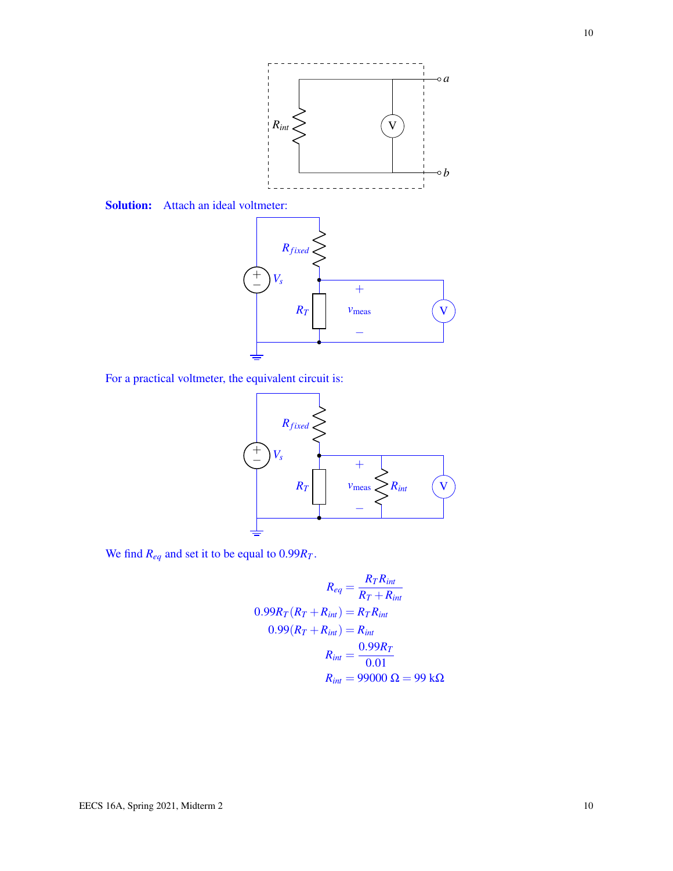

Solution: Attach an ideal voltmeter:



For a practical voltmeter, the equivalent circuit is:



We find  $R_{eq}$  and set it to be equal to  $0.99R_T$ .

$$
R_{eq} = \frac{R_T R_{int}}{R_T + R_{int}}
$$
  
0.99R<sub>T</sub>(R<sub>T</sub> + R<sub>int</sub>) = R<sub>TH</sub>  
0.99(R<sub>T</sub> + R<sub>int</sub>) = R<sub>int</sub>  
R<sub>int</sub> =  $\frac{0.99R_T}{0.01}$   
R<sub>int</sub> = 99000 Ω = 99 kΩ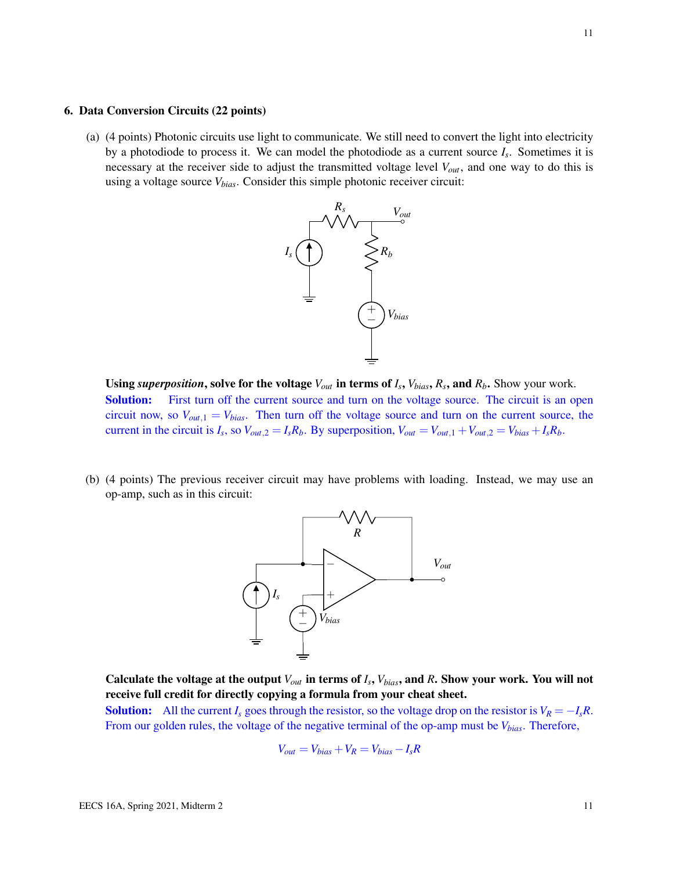#### 6. Data Conversion Circuits (22 points)

(a) (4 points) Photonic circuits use light to communicate. We still need to convert the light into electricity by a photodiode to process it. We can model the photodiode as a current source *I<sup>s</sup>* . Sometimes it is necessary at the receiver side to adjust the transmitted voltage level *Vout*, and one way to do this is using a voltage source *Vbias*. Consider this simple photonic receiver circuit:



**Using** *superposition***, solve for the voltage**  $V_{out}$  in terms of  $I_s$ ,  $V_{bias}$ ,  $R_s$ , and  $R_b$ . Show your work. **Solution:** First turn off the current source and turn on the voltage source. The circuit is an open circuit now, so  $V_{out,1} = V_{bias}$ . Then turn off the voltage source and turn on the current source, the current in the circuit is  $I_s$ , so  $V_{out,2} = I_s R_b$ . By superposition,  $V_{out} = V_{out,1} + V_{out,2} = V_{bias} + I_s R_b$ .

(b) (4 points) The previous receiver circuit may have problems with loading. Instead, we may use an op-amp, such as in this circuit:



Calculate the voltage at the output  $V_{out}$  in terms of  $I_s$ ,  $V_{bias}$ , and  $R$ . Show your work. You will not receive full credit for directly copying a formula from your cheat sheet.

**Solution:** All the current  $I_s$  goes through the resistor, so the voltage drop on the resistor is  $V_R = -I_sR$ . From our golden rules, the voltage of the negative terminal of the op-amp must be *Vbias*. Therefore,

$$
V_{out} = V_{bias} + V_R = V_{bias} - I_s R
$$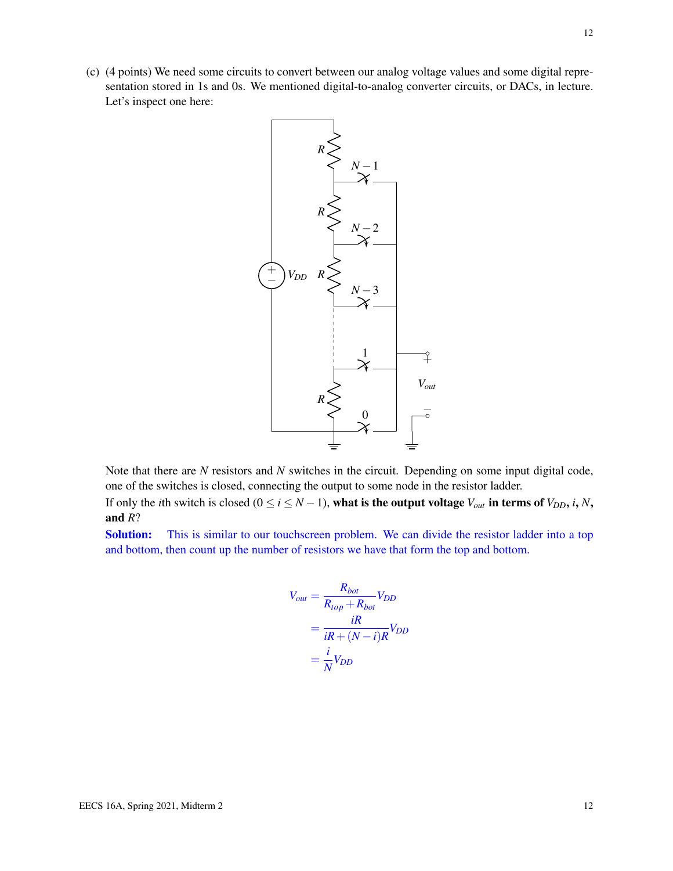

Note that there are *N* resistors and *N* switches in the circuit. Depending on some input digital code, one of the switches is closed, connecting the output to some node in the resistor ladder. If only the *i*th switch is closed ( $0 \le i \le N - 1$ ), what is the output voltage  $V_{out}$  in terms of  $V_{DD}$ , *i*, *N*,

and *R*?

Solution: This is similar to our touchscreen problem. We can divide the resistor ladder into a top and bottom, then count up the number of resistors we have that form the top and bottom.

$$
V_{out} = \frac{R_{bot}}{R_{top} + R_{bot}} V_{DD}
$$
  
= 
$$
\frac{iR}{iR + (N - i)R} V_{DD}
$$
  
= 
$$
\frac{i}{N} V_{DD}
$$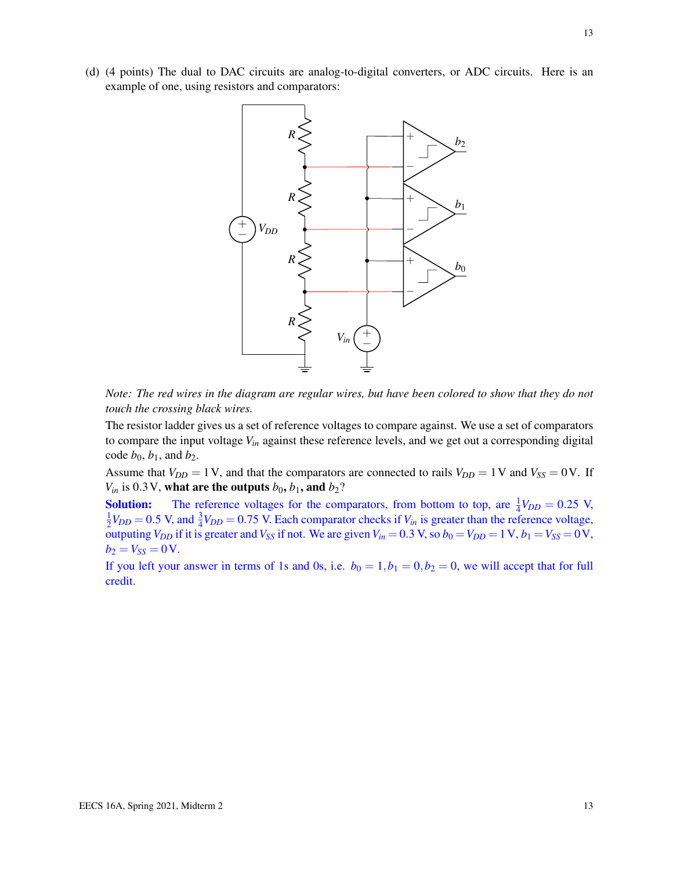

*Note: The red wires in the diagram are regular wires, but have been colored to show that they do not touch the crossing black wires.*

The resistor ladder gives us a set of reference voltages to compare against. We use a set of comparators to compare the input voltage *Vin* against these reference levels, and we get out a corresponding digital code  $b_0$ ,  $b_1$ , and  $b_2$ .

Assume that  $V_{DD} = 1$  V, and that the comparators are connected to rails  $V_{DD} = 1$  V and  $V_{SS} = 0$  V. If  $V_{in}$  is 0.3 V, what are the outputs  $b_0$ ,  $b_1$ , and  $b_2$ ?

**Solution:** The reference voltages for the comparators, from bottom to top, are  $\frac{1}{4}V_{DD} = 0.25$  V, 1  $\frac{1}{2}V_{DD} = 0.5$  V, and  $\frac{3}{4}V_{DD} = 0.75$  V. Each comparator checks if  $V_{in}$  is greater than the reference voltage, outputing  $V_{DD}$  if it is greater and  $V_{SS}$  if not. We are given  $V_{in} = 0.3$  V, so  $b_0 = V_{DD} = 1$  V,  $b_1 = V_{SS} = 0$  V,  $b_2 = V_{SS} = 0V$ .

If you left your answer in terms of 1s and 0s, i.e.  $b_0 = 1, b_1 = 0, b_2 = 0$ , we will accept that for full credit.

13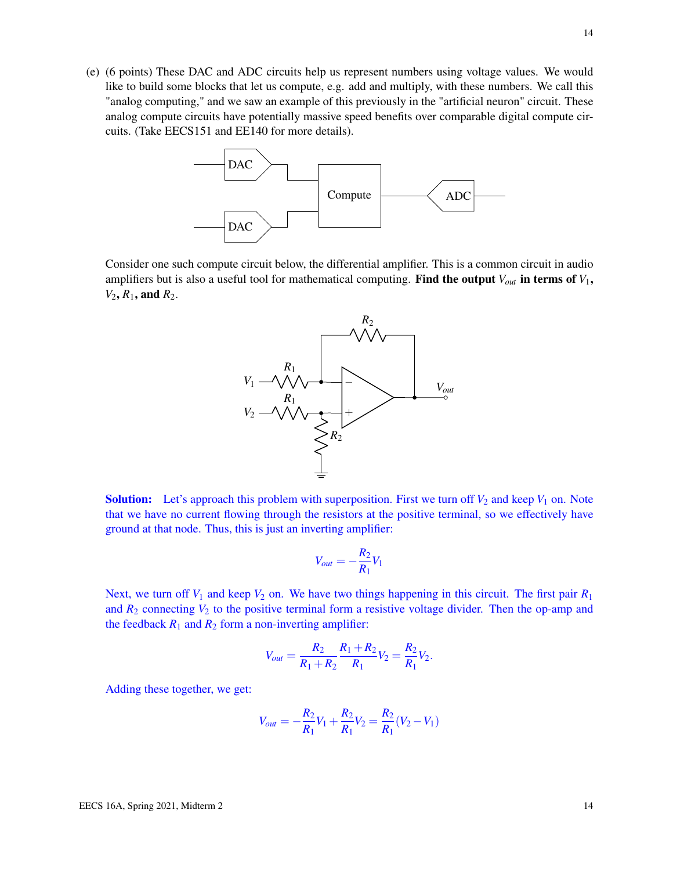(e) (6 points) These DAC and ADC circuits help us represent numbers using voltage values. We would like to build some blocks that let us compute, e.g. add and multiply, with these numbers. We call this "analog computing," and we saw an example of this previously in the "artificial neuron" circuit. These analog compute circuits have potentially massive speed benefits over comparable digital compute circuits. (Take EECS151 and EE140 for more details).



Consider one such compute circuit below, the differential amplifier. This is a common circuit in audio amplifiers but is also a useful tool for mathematical computing. Find the output  $V_{out}$  in terms of  $V_1$ ,  $V_2$ ,  $R_1$ , and  $R_2$ .



**Solution:** Let's approach this problem with superposition. First we turn off  $V_2$  and keep  $V_1$  on. Note that we have no current flowing through the resistors at the positive terminal, so we effectively have ground at that node. Thus, this is just an inverting amplifier:

$$
V_{out} = -\frac{R_2}{R_1}V_1
$$

Next, we turn off  $V_1$  and keep  $V_2$  on. We have two things happening in this circuit. The first pair  $R_1$ and  $R_2$  connecting  $V_2$  to the positive terminal form a resistive voltage divider. Then the op-amp and the feedback  $R_1$  and  $R_2$  form a non-inverting amplifier:

$$
V_{out} = \frac{R_2}{R_1 + R_2} \frac{R_1 + R_2}{R_1} V_2 = \frac{R_2}{R_1} V_2.
$$

Adding these together, we get:

$$
V_{out} = -\frac{R_2}{R_1}V_1 + \frac{R_2}{R_1}V_2 = \frac{R_2}{R_1}(V_2 - V_1)
$$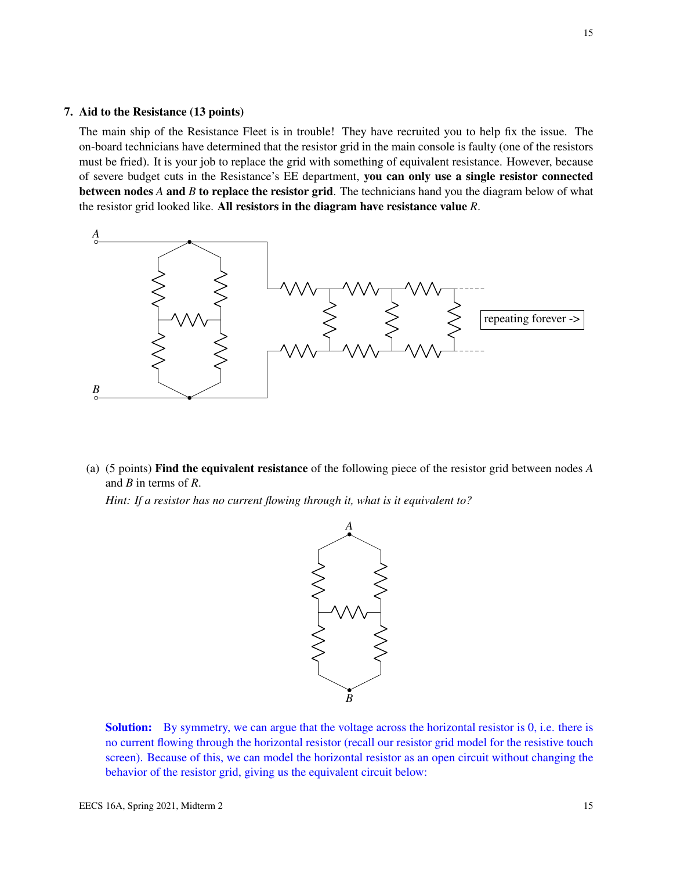# 7. Aid to the Resistance (13 points)

The main ship of the Resistance Fleet is in trouble! They have recruited you to help fix the issue. The on-board technicians have determined that the resistor grid in the main console is faulty (one of the resistors must be fried). It is your job to replace the grid with something of equivalent resistance. However, because of severe budget cuts in the Resistance's EE department, you can only use a single resistor connected between nodes *A* and *B* to replace the resistor grid. The technicians hand you the diagram below of what the resistor grid looked like. All resistors in the diagram have resistance value *R*.



(a) (5 points) Find the equivalent resistance of the following piece of the resistor grid between nodes *A* and *B* in terms of *R*.

*Hint: If a resistor has no current flowing through it, what is it equivalent to?*



**Solution:** By symmetry, we can argue that the voltage across the horizontal resistor is 0, i.e. there is no current flowing through the horizontal resistor (recall our resistor grid model for the resistive touch screen). Because of this, we can model the horizontal resistor as an open circuit without changing the behavior of the resistor grid, giving us the equivalent circuit below: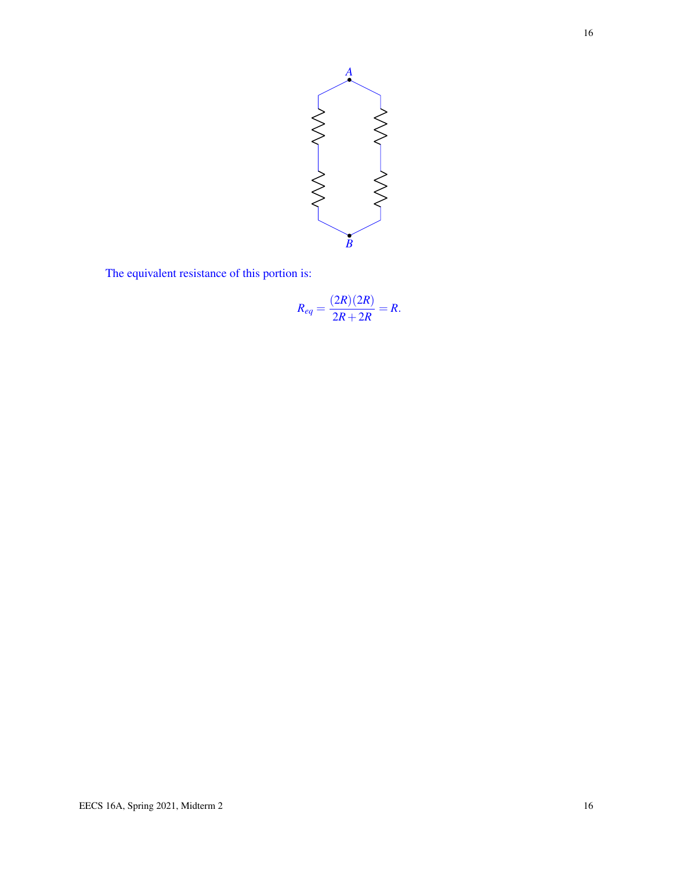

The equivalent resistance of this portion is:

$$
R_{eq} = \frac{(2R)(2R)}{2R + 2R} = R.
$$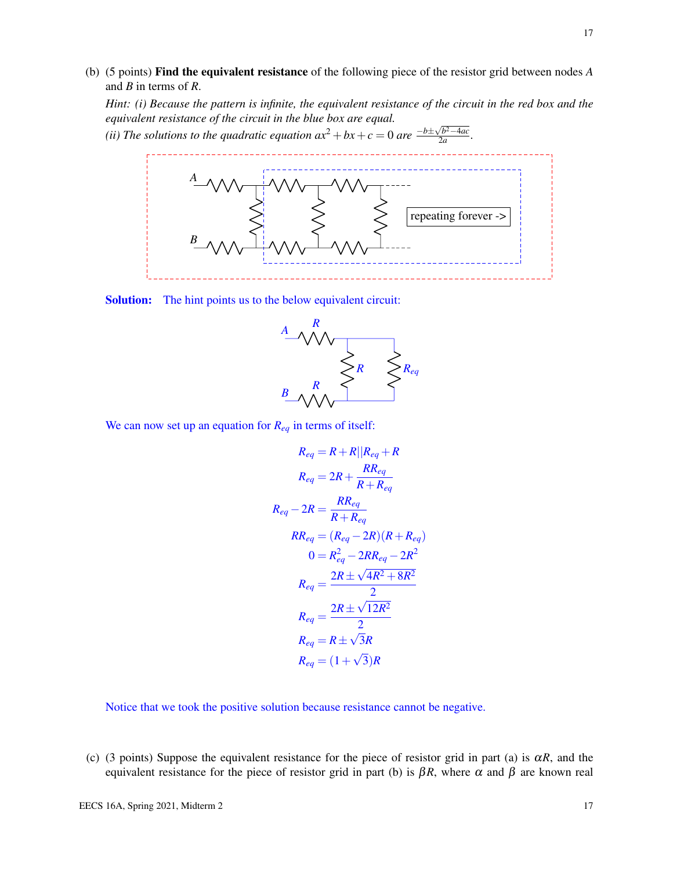(b) (5 points) Find the equivalent resistance of the following piece of the resistor grid between nodes *A* and *B* in terms of *R*.

*Hint: (i) Because the pattern is infinite, the equivalent resistance of the circuit in the red box and the equivalent resistance of the circuit in the blue box are equal.*

*(ii) The solutions to the quadratic equation*  $ax^2 + bx + c = 0$  *are*  $\frac{-b \pm \sqrt{b^2 - 4ac}}{2a}$  $\frac{2a}{2a}$ .



Solution: The hint points us to the below equivalent circuit:



We can now set up an equation for *Req* in terms of itself:

$$
R_{eq} = R + R || R_{eq} + R
$$
  
\n
$$
R_{eq} = 2R + \frac{RR_{eq}}{R + R_{eq}}
$$
  
\n
$$
R_{eq} - 2R = \frac{RR_{eq}}{R + R_{eq}}
$$
  
\n
$$
RR_{eq} = (R_{eq} - 2R)(R + R_{eq})
$$
  
\n
$$
0 = R_{eq}^2 - 2RR_{eq} - 2R^2
$$
  
\n
$$
R_{eq} = \frac{2R \pm \sqrt{4R^2 + 8R^2}}{2}
$$
  
\n
$$
R_{eq} = \frac{2R \pm \sqrt{12R^2}}{2}
$$
  
\n
$$
R_{eq} = R \pm \sqrt{3}R
$$
  
\n
$$
R_{eq} = (1 + \sqrt{3})R
$$

Notice that we took the positive solution because resistance cannot be negative.

(c) (3 points) Suppose the equivalent resistance for the piece of resistor grid in part (a) is  $\alpha R$ , and the equivalent resistance for the piece of resistor grid in part (b) is  $\beta R$ , where  $\alpha$  and  $\beta$  are known real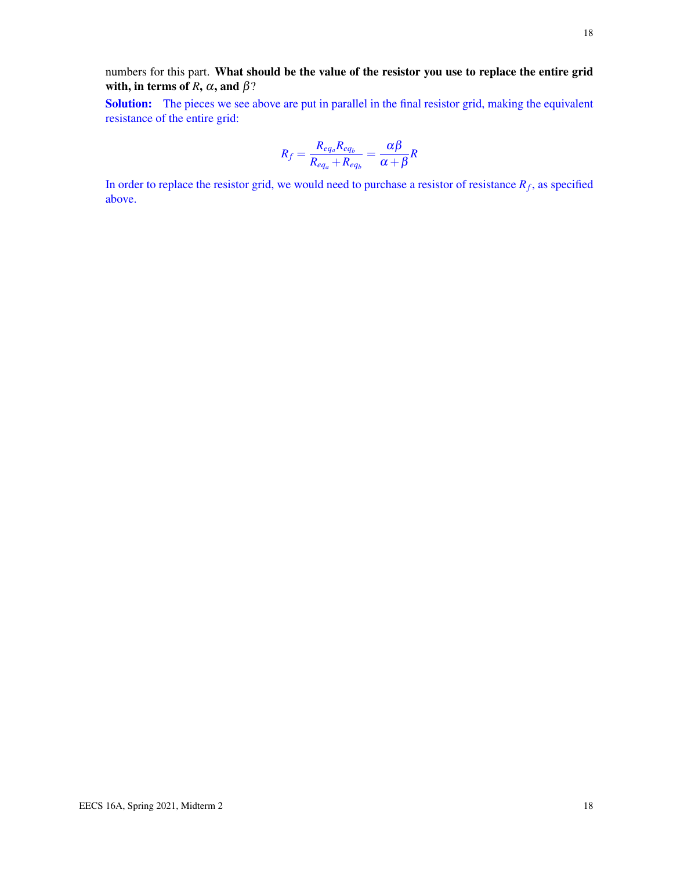Solution: The pieces we see above are put in parallel in the final resistor grid, making the equivalent resistance of the entire grid:

$$
R_f = \frac{R_{eq_a}R_{eq_b}}{R_{eq_a} + R_{eq_b}} = \frac{\alpha\beta}{\alpha + \beta}R
$$

In order to replace the resistor grid, we would need to purchase a resistor of resistance *R<sup>f</sup>* , as specified above.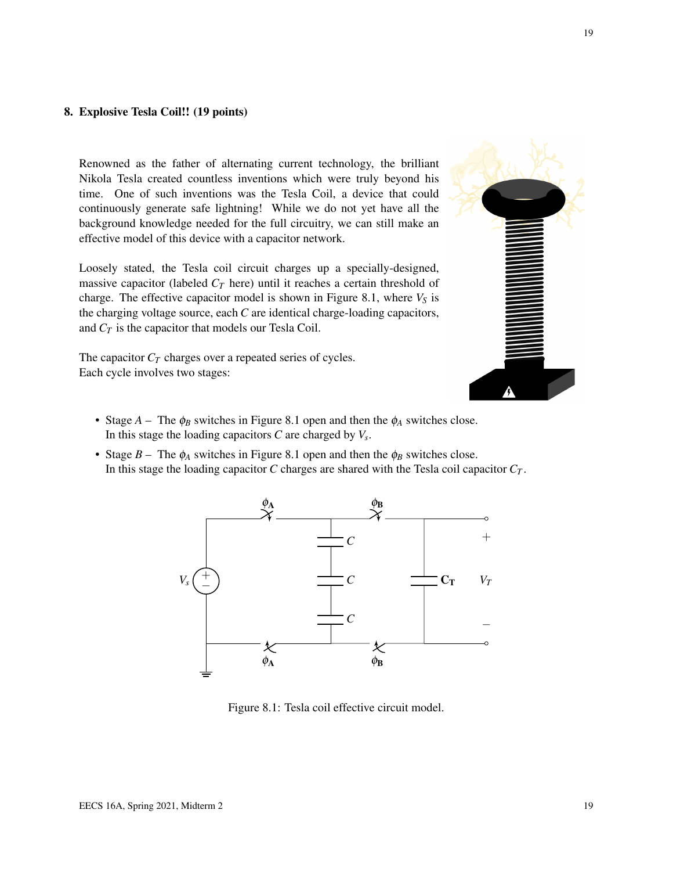## 8. Explosive Tesla Coil!! (19 points)

Renowned as the father of alternating current technology, the brilliant Nikola Tesla created countless inventions which were truly beyond his time. One of such inventions was the Tesla Coil, a device that could continuously generate safe lightning! While we do not yet have all the background knowledge needed for the full circuitry, we can still make an effective model of this device with a capacitor network.

Loosely stated, the Tesla coil circuit charges up a specially-designed, massive capacitor (labeled  $C_T$  here) until it reaches a certain threshold of charge. The effective capacitor model is shown in Figure [8.1,](#page-18-0) where  $V<sub>S</sub>$  is the charging voltage source, each *C* are identical charge-loading capacitors, and *C<sup>T</sup>* is the capacitor that models our Tesla Coil.

The capacitor  $C_T$  charges over a repeated series of cycles. Each cycle involves two stages:



- Stage  $A$  The  $\phi_B$  switches in Figure [8.1](#page-18-0) open and then the  $\phi_A$  switches close. In this stage the loading capacitors *C* are charged by *V<sup>s</sup>* .
- <span id="page-18-0"></span>• Stage  $B$  – The  $\phi_A$  switches in Figure [8.1](#page-18-0) open and then the  $\phi_B$  switches close. In this stage the loading capacitor *C* charges are shared with the Tesla coil capacitor  $C_T$ .



Figure 8.1: Tesla coil effective circuit model.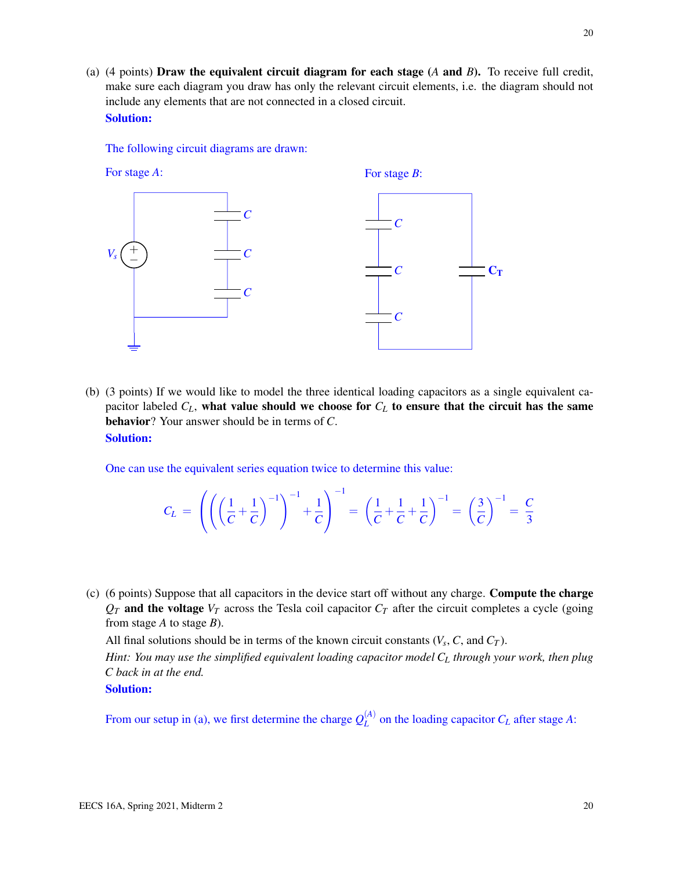(a) (4 points) Draw the equivalent circuit diagram for each stage (*A* and *B*). To receive full credit, make sure each diagram you draw has only the relevant circuit elements, i.e. the diagram should not include any elements that are not connected in a closed circuit. Solution:

The following circuit diagrams are drawn:



(b) (3 points) If we would like to model the three identical loading capacitors as a single equivalent capacitor labeled  $C_L$ , what value should we choose for  $C_L$  to ensure that the circuit has the same behavior? Your answer should be in terms of *C*. Solution:

One can use the equivalent series equation twice to determine this value:

$$
C_L = \left( \left( \left( \frac{1}{C} + \frac{1}{C} \right)^{-1} \right)^{-1} + \frac{1}{C} \right)^{-1} = \left( \frac{1}{C} + \frac{1}{C} + \frac{1}{C} \right)^{-1} = \left( \frac{3}{C} \right)^{-1} = \frac{C}{3}
$$

(c) (6 points) Suppose that all capacitors in the device start off without any charge. Compute the charge  $Q_T$  and the voltage  $V_T$  across the Tesla coil capacitor  $C_T$  after the circuit completes a cycle (going from stage *A* to stage *B*).

All final solutions should be in terms of the known circuit constants  $(V_s, C, \text{ and } C_T)$ .

*Hint: You may use the simplified equivalent loading capacitor model C<sup>L</sup> through your work, then plug C back in at the end.*

Solution:

From our setup in (a), we first determine the charge  $Q_L^{(A)}$  $L^{(A)}$  on the loading capacitor  $C_L$  after stage A: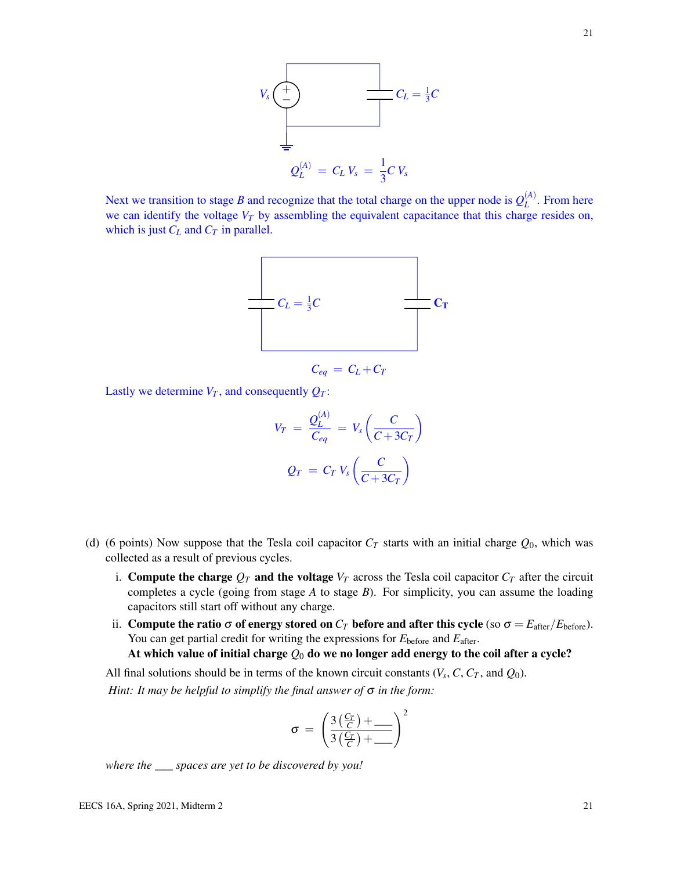

Next we transition to stage *B* and recognize that the total charge on the upper node is  $Q_L^{(A)}$  $L^{(A)}$ . From here we can identify the voltage *V<sup>T</sup>* by assembling the equivalent capacitance that this charge resides on, which is just  $C_L$  and  $C_T$  in parallel.



$$
C_{eq} = C_L + C_T
$$

Lastly we determine  $V_T$ , and consequently  $Q_T$ :

$$
V_T = \frac{Q_L^{(A)}}{C_{eq}} = V_s \left(\frac{C}{C + 3C_T}\right)
$$

$$
Q_T = C_T V_s \left(\frac{C}{C + 3C_T}\right)
$$

- (d) (6 points) Now suppose that the Tesla coil capacitor  $C_T$  starts with an initial charge  $Q_0$ , which was collected as a result of previous cycles.
	- i. Compute the charge  $Q_T$  and the voltage  $V_T$  across the Tesla coil capacitor  $C_T$  after the circuit completes a cycle (going from stage *A* to stage *B*). For simplicity, you can assume the loading capacitors still start off without any charge.
	- ii. Compute the ratio  $\sigma$  of energy stored on  $C_T$  before and after this cycle (so  $\sigma = E_{\text{after}}/E_{\text{before}}$ ). You can get partial credit for writing the expressions for  $E_{before}$  and  $E_{after}$ .

At which value of initial charge *Q*<sup>0</sup> do we no longer add energy to the coil after a cycle?

All final solutions should be in terms of the known circuit constants  $(V_s, C, C_T,$  and  $Q_0$ ). *Hint: It may be helpful to simplify the final answer of* σ *in the form:*

$$
\sigma = \left(\frac{3\left(\frac{C_T}{C}\right)+\_\_\_\_}{3\left(\frac{C_T}{C}\right)+\_\_\_\right)^2}
$$

*where the \_\_\_ spaces are yet to be discovered by you!*